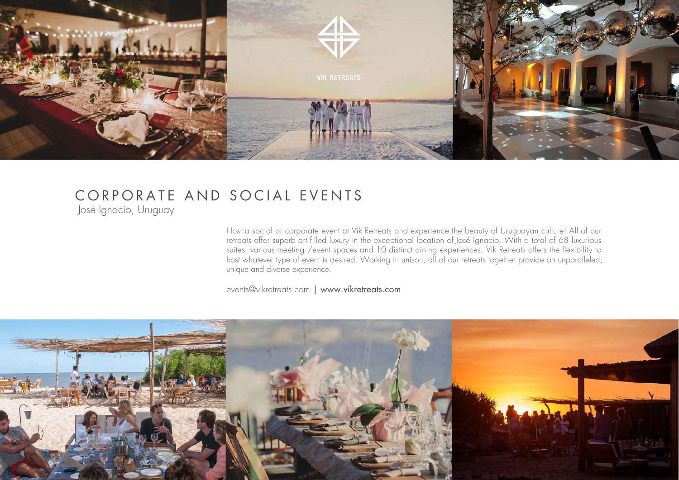

## CORPORATE AND SOCIAL EVENTS

José Ignacio, Uruguay

Host a social or corporate event at Vik Retreats and experience the beauty of Uruguayan culture! All of our retreats offer superb art filled luxury in the exceptional location of José Ignacio. With a total of 68 luxurious suites, various meeting /event spaces and 10 distinct dining experiences, Vik Retreats offers the flexibility to host whatever type of event is desired. Working in unison, all of our retreats together provide an unparalleled, unique and diverse experience.

events@vikretreats.com | www.vikretreats.com

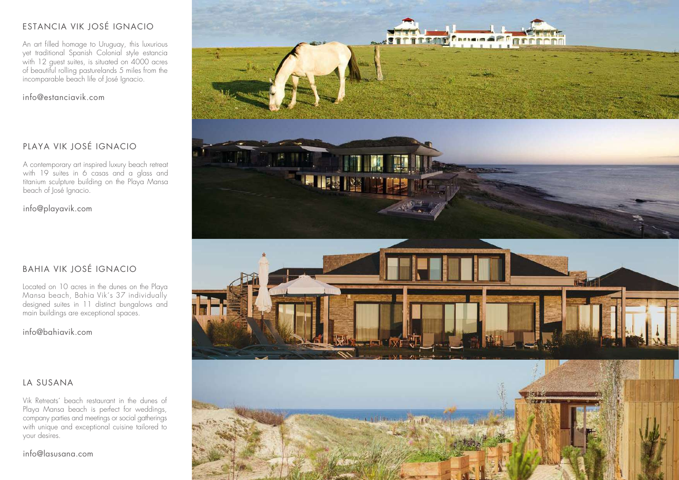#### ESTANCIA VIK JOSÉ IGNACIO

An art filled homage to Uruguay, this luxurious yet traditional Spanish Colonial style estancia with 12 guest suites, is situated on 4000 acres of beautiful rolling pasturelands 5 miles from the incomparable beach life of José Ignacio.

info@estanciavik.com

#### PLAYA VIK JOSÉ IGNACIO

A contemporary art inspired luxury beach retreat with 19 suites in 6 casas and a glass and titanium sculpture building on the Playa Mansa beach of José Ignacio.

info@playavik.com

#### BAHIA VIK JOSÉ IGNACIO

Located on 10 acres in the dunes on the Playa Mansa beach, Bahia Vik's 37 individually designed suites in 11 distinct bungalows and main buildings are exceptional spaces.

info@bahiavik.com

#### LA SUSANA

Vik Retreats´ beach restaurant in the dunes of Playa Mansa beach is perfect for weddings, company parties and meetings or social gatherings with unique and exceptional cuisine tailored to your desires.



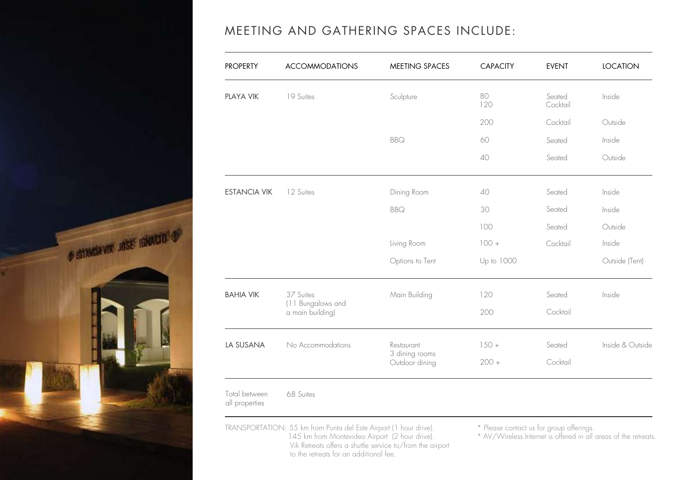

### MEETING AND GATHERING SPACES INCLUDE:

| <b>PROPERTY</b>                 | <b>ACCOMMODATIONS</b>                              | <b>MEETING SPACES</b>                          | <b>CAPACITY</b> | <b>EVENT</b>       | <b>LOCATION</b>  |
|---------------------------------|----------------------------------------------------|------------------------------------------------|-----------------|--------------------|------------------|
| PLAYA VIK                       | 19 Suites                                          | Sculpture                                      | 80<br>120       | Seated<br>Cocktail | Inside           |
|                                 |                                                    |                                                | 200             | Cocktail           | Outside          |
|                                 |                                                    | <b>BBQ</b>                                     | 60              | Seated             | Inside           |
|                                 |                                                    |                                                | 40              | Seated             | Outside          |
| <b>ESTANCIA VIK</b>             | 12 Suites                                          | Dining Room                                    | 40              | Seated             | Inside           |
|                                 |                                                    | <b>BBQ</b>                                     | 30              | Seated             | Inside           |
|                                 |                                                    |                                                | 100             | Seated             | Outside          |
|                                 |                                                    | Living Room                                    | $100 +$         | Cocktail           | Inside           |
|                                 |                                                    | Options to Tent                                | Up to 1000      |                    | Outside (Tent)   |
| <b>BAHIA VIK</b>                | 37 Suites<br>(11 Bungalows and<br>a main building) | Main Building                                  | 120             | Seated             | Inside           |
|                                 |                                                    |                                                | 200             | Cocktail           |                  |
| LA SUSANA                       | No Accommodations                                  | Restaurant<br>3 dining rooms<br>Outdoor dining | $150 +$         | Seated             | Inside & Outside |
|                                 |                                                    |                                                | $200 +$         | Cocktail           |                  |
| Total between<br>all properties | 68 Suites                                          |                                                |                 |                    |                  |

TRANSPORTATION: 55 km from Punta del Este Airport (1 hour drive). 145 km from Montevideo Airport (2 hour drive). Vik Retreats offers a shuttle service to/from the airport to the retreats for an additional fee.

\* Please contact us for group offerings.

\* AV/Wireless Internet is offered in all areas of the retreats.